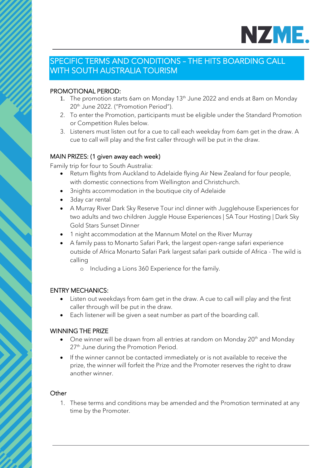

# SPECIFIC TERMS AND CONDITIONS – THE HITS BOARDING CALL WITH SOUTH AUSTRALIA TOURISM

# PROMOTIONAL PERIOD:

- 1. The promotion starts 6am on Monday  $13<sup>th</sup>$  June 2022 and ends at 8am on Monday 20<sup>th</sup> June 2022. ("Promotion Period").
- 2. To enter the Promotion, participants must be eligible under the Standard Promotion or Competition Rules below.
- 3. Listeners must listen out for a cue to call each weekday from 6am get in the draw. A cue to call will play and the first caller through will be put in the draw.

## MAIN PRIZES: (1 given away each week)

Family trip for four to South Australia:

- Return flights from Auckland to Adelaide flying Air New Zealand for four people, with domestic connections from Wellington and Christchurch.
- 3nights accommodation in the boutique city of Adelaide
- 3day car rental
- A Murray River Dark Sky Reserve Tour incl dinner with Jugglehouse Experiences for two adults and two children Juggle House Experiences | SA Tour Hosting | Dark Sky Gold Stars Sunset Dinner
- 1 night accommodation at the Mannum Motel on the River Murray
- A family pass to Monarto Safari Park, the largest open-range safari experience outside of Africa Monarto Safari Park largest safari park outside of Africa - The wild is calling
	- o Including a Lions 360 Experience for the family.

# ENTRY MECHANICS:

- Listen out weekdays from 6am get in the draw. A cue to call will play and the first caller through will be put in the draw.
- Each listener will be given a seat number as part of the boarding call.

## WINNING THE PRIZE

- One winner will be drawn from all entries at random on Monday 20<sup>th</sup> and Monday 27<sup>th</sup> June during the Promotion Period.
- If the winner cannot be contacted immediately or is not available to receive the prize, the winner will forfeit the Prize and the Promoter reserves the right to draw another winner.

## **Other**

1. These terms and conditions may be amended and the Promotion terminated at any time by the Promoter.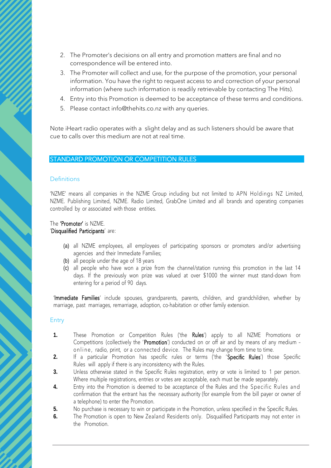- 2. The Promoter's decisions on all entry and promotion matters are final and no correspondence will be entered into.
- 3. The Promoter will collect and use, for the purpose of the promotion, your personal information. You have the right to request access to and correction of your personal information (where such information is readily retrievable by contacting The Hits).
- 4. Entry into this Promotion is deemed to be acceptance of these terms and conditions.
- 5. Please contact info@thehits.co.nz with any queries.

Note iHeart radio operates with a slight delay and as such listeners should be aware that cue to calls over this medium are not at real time.

## STANDARD PROMOTION OR COMPETITION RULES

#### **Definitions**

'NZME' means all companies in the NZME Group including but not limited to APN Holdings NZ Limited, NZME. Publishing Limited, NZME. Radio Limited, GrabOne Limited and all brands and operating companies controlled by or associated with those entities.

#### The 'Promoter' is NZME. 'Disqualified Participants' are:

- (a) all NZME employees, all employees of participating sponsors or promoters and/or advertising agencies and their Immediate Families;
- (b) all people under the age of 18 years
- (c) all people who have won a prize from the channel/station running this promotion in the last 14 days. If the previously won prize was valued at over \$1000 the winner must stand-down from entering for a period of 90 days.

'Immediate Families' include spouses, grandparents, parents, children, and grandchildren, whether by marriage, past marriages, remarriage, adoption, co-habitation or other family extension.

#### Entry

- **1.** These Promotion or Competition Rules ('the Rules') apply to all NZME Promotions or Competitions (collectively the 'Promotion') conducted on or off air and by means of any medium – on line, radio, print, or a connected device. The Rules may change from time to time.
- 2. If a particular Promotion has specific rules or terms ('the 'Specific Rules') those Specific Rules will apply if there is any inconsistency with the Rules.
- **3.** Unless otherwise stated in the Specific Rules registration, entry or vote is limited to 1 per person. Where multiple registrations, entries or votes are acceptable, each must be made separately.
- **4.** Entry into the Promotion is deemed to be acceptance of the Rules and the Specific Rules and confirmation that the entrant has the necessary authority (for example from the bill payer or owner of a telephone) to enter the Promotion.
- **5.** No purchase is necessary to win or participate in the Promotion, unless specified in the Specific Rules.
- **6.** The Promotion is open to New Zealand Residents only. Disqualified Participants may not enter in the Promotion.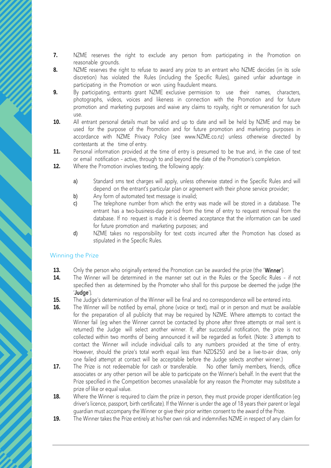- **7.** NZME reserves the right to exclude any person from participating in the Promotion on reasonable grounds.
- 8. NZME reserves the right to refuse to award any prize to an entrant who NZME decides (in its sole discretion) has violated the Rules (including the Specific Rules), gained unfair advantage in participating in the Promotion or won using fraudulent means.
- **9.** By participating, entrants grant NZME exclusive permission to use their names, characters, photographs, videos, voices and likeness in connection with the Promotion and for future promotion and marketing purposes and waive any claims to royalty, right or remuneration for such use.
- **10.** All entrant personal details must be valid and up to date and will be held by NZME and may be used for the purpose of the Promotion and for future promotion and marketing purposes in accordance with NZME Privacy Policy (see www.NZME.co.nz) unless otherwise directed by contestants at the time of entry.
- **11.** Personal information provided at the time of entry is presumed to be true and, in the case of text or email notification – active, through to and beyond the date of the Promotion's completion.
- **12.** Where the Promotion involves texting, the following apply:
	- a) Standard sms text charges will apply, unless otherwise stated in the Specific Rules and will depend on the entrant's particular plan or agreement with their phone service provider;
	- b) Any form of automated text message is invalid;
	- c) The telephone number from which the entry was made will be stored in a database. The entrant has a two-business-day period from the time of entry to request removal from the database. If no request is made it is deemed acceptance that the information can be used for future promotion and marketing purposes; and
	- d) NZME takes no responsibility for text costs incurred after the Promotion has closed as stipulated in the Specific Rules.

## Winning the Prize

- **13.** Only the person who originally entered the Promotion can be awarded the prize (the 'Winner').
- **14.** The Winner will be determined in the manner set out in the Rules or the Specific Rules if not specified then as determined by the Promoter who shall for this purpose be deemed the judge (the 'Judge').
- **15.** The Judge's determination of the Winner will be final and no correspondence will be entered into.
- **16.** The Winner will be notified by email, phone (voice or text), mail or in person and must be available for the preparation of all publicity that may be required by NZME. Where attempts to contact the Winner fail (eg when the Winner cannot be contacted by phone after three attempts or mail sent is returned) the Judge will select another winner. If, after successful notification, the prize is not collected within two months of being announced it will be regarded as forfeit. (Note: 3 attempts to contact the Winner will include individual calls to any numbers provided at the time of entry. However, should the prize's total worth equal less than NZD\$250 and be a live-to-air draw, only one failed attempt at contact will be acceptable before the Judge selects another winner.)
- **17.** The Prize is not redeemable for cash or transferable. No other family members, friends, office associates or any other person will be able to participate on the Winner's behalf. In the event that the Prize specified in the Competition becomes unavailable for any reason the Promoter may substitute a prize of like or equal value.
- **18.** Where the Winner is required to claim the prize in person, they must provide proper identification (eq driver's licence, passport, birth certificate). If the Winner is under the age of 18 years their parent or legal guardian must accompany the Winner or give their prior written consent to the award of the Prize.
- **19.** The Winner takes the Prize entirely at his/her own risk and indemnifies NZME in respect of any claim for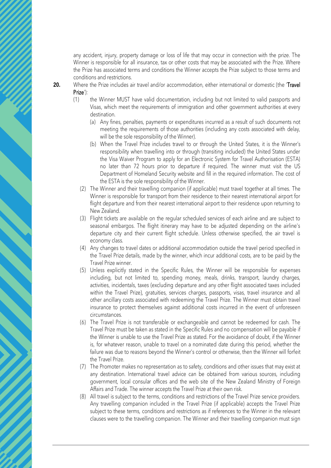any accident, injury, property damage or loss of life that may occur in connection with the prize. The Winner is responsible for all insurance, tax or other costs that may be associated with the Prize. Where the Prize has associated terms and conditions the Winner accepts the Prize subject to those terms and conditions and restrictions.

- **20.** Where the Prize includes air travel and/or accommodation, either international or domestic (the 'Travel Prize'):
	- (1) the Winner MUST have valid documentation, including but not limited to valid passports and Visas, which meet the requirements of immigration and other government authorities at every destination.
		- (a) Any fines, penalties, payments or expenditures incurred as a result of such documents not meeting the requirements of those authorities (including any costs associated with delay, will be the sole responsibility of the Winner).
		- (b) When the Travel Prize includes travel to or through the United States, it is the Winner's responsibility when travelling into or through (transiting included) the United States under the Visa Waiver Program to apply for an Electronic System for Travel Authorisation (ESTA) no later than 72 hours prior to departure if required. The winner must visit the US Department of Homeland Security website and fill in the required information. The cost of the ESTA is the sole responsibility of the Winner.
		- (2) The Winner and their travelling companion (if applicable) must travel together at all times. The Winner is responsible for transport from their residence to their nearest international airport for flight departure and from their nearest international airport to their residence upon returning to New Zealand.
		- (3) Flight tickets are available on the regular scheduled services of each airline and are subject to seasonal embargos. The flight itinerary may have to be adjusted depending on the airline's departure city and their current flight schedule. Unless otherwise specified, the air travel is economy class.
		- (4) Any changes to travel dates or additional accommodation outside the travel period specified in the Travel Prize details, made by the winner, which incur additional costs, are to be paid by the Travel Prize winner.
		- (5) Unless explicitly stated in the Specific Rules, the Winner will be responsible for expenses including, but not limited to, spending money, meals, drinks, transport, laundry charges, activities, incidentals, taxes (excluding departure and any other flight associated taxes included within the Travel Prize), gratuities, services charges, passports, visas, travel insurance and all other ancillary costs associated with redeeming the Travel Prize. The Winner must obtain travel insurance to protect themselves against additional costs incurred in the event of unforeseen circumstances.
		- (6) The Travel Prize is not transferable or exchangeable and cannot be redeemed for cash. The Travel Prize must be taken as stated in the Specific Rules and no compensation will be payable if the Winner is unable to use the Travel Prize as stated. For the avoidance of doubt, if the Winner is, for whatever reason, unable to travel on a nominated date during this period, whether the failure was due to reasons beyond the Winner's control or otherwise, then the Winner will forfeit the Travel Prize.
		- (7) The Promoter makes no representation as to safety, conditions and other issues that may exist at any destination. International travel advice can be obtained from various sources, including government, local consular offices and the web site of the New Zealand Ministry of Foreign Affairs and Trade. The winner accepts the Travel Prize at their own risk.
		- (8) All travel is subject to the terms, conditions and restrictions of the Travel Prize service providers. Any travelling companion included in the Travel Prize (if applicable) accepts the Travel Prize subject to these terms, conditions and restrictions as if references to the Winner in the relevant clauses were to the travelling companion. The Winner and their travelling companion must sign